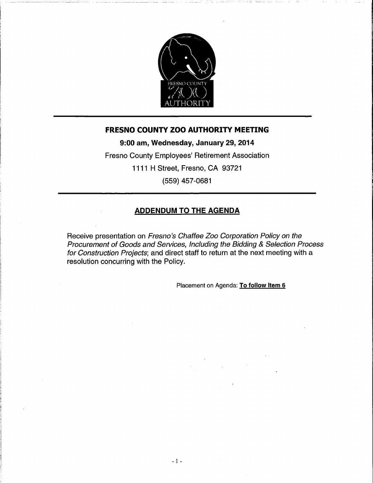

#### **FRESNO COUNTY ZOO AUTHORITY MEETING**

9:00 am, Wednesday, January 29, 2014

Fresno County Employees' Retirement Association 1111 H Street, Fresno, CA 93721

(559) 457-0681

#### **ADDENDUM TO THE AGENDA**

Receive presentation on Fresno's Chaffee Zoo Corporation Policy on the Procurement of Goods and Services, Including the Bidding & Selection Process for Construction Projects; and direct staff to return at the next meeting with a resolution concurring with the Policy.

Placement on Agenda: To follow Item 6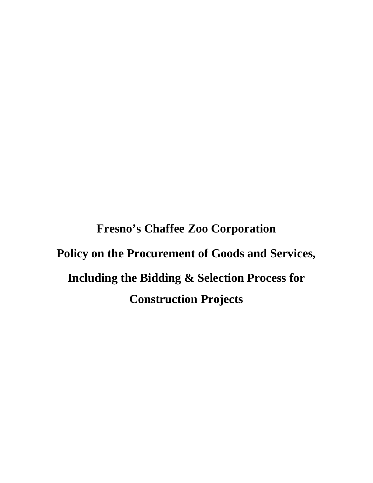**Fresno's Chaffee Zoo Corporation Policy on the Procurement of Goods and Services, Including the Bidding & Selection Process for Construction Projects**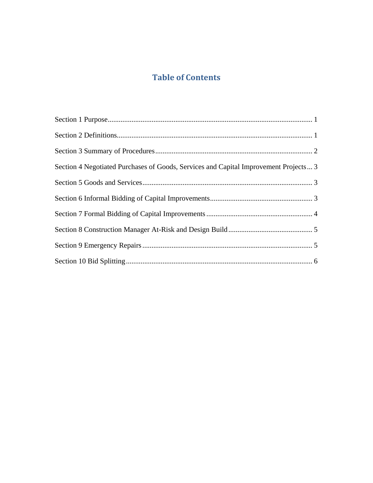# **Table of Contents**

| Section 4 Negotiated Purchases of Goods, Services and Capital Improvement Projects 3 |
|--------------------------------------------------------------------------------------|
|                                                                                      |
|                                                                                      |
|                                                                                      |
|                                                                                      |
|                                                                                      |
|                                                                                      |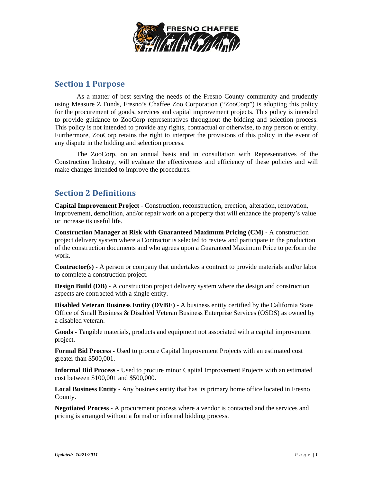

#### **Section 1 Purpose**

As a matter of best serving the needs of the Fresno County community and prudently using Measure Z Funds, Fresno's Chaffee Zoo Corporation ("ZooCorp") is adopting this policy for the procurement of goods, services and capital improvement projects. This policy is intended to provide guidance to ZooCorp representatives throughout the bidding and selection process. This policy is not intended to provide any rights, contractual or otherwise, to any person or entity. Furthermore, ZooCorp retains the right to interpret the provisions of this policy in the event of any dispute in the bidding and selection process.

 The ZooCorp, on an annual basis and in consultation with Representatives of the Construction Industry, will evaluate the effectiveness and efficiency of these policies and will make changes intended to improve the procedures.

## **Section 2 Definitions**

**Capital Improvement Project -** Construction, reconstruction, erection, alteration, renovation, improvement, demolition, and/or repair work on a property that will enhance the property's value or increase its useful life.

**Construction Manager at Risk with Guaranteed Maximum Pricing (CM) -** A construction project delivery system where a Contractor is selected to review and participate in the production of the construction documents and who agrees upon a Guaranteed Maximum Price to perform the work.

**Contractor(s) -** A person or company that undertakes a contract to provide materials and/or labor to complete a construction project.

**Design Build (DB) -** A construction project delivery system where the design and construction aspects are contracted with a single entity.

**Disabled Veteran Business Entity (DVBE) -** A business entity certified by the California State Office of Small Business & Disabled Veteran Business Enterprise Services (OSDS) as owned by a disabled veteran.

**Goods -** Tangible materials, products and equipment not associated with a capital improvement project.

**Formal Bid Process -** Used to procure Capital Improvement Projects with an estimated cost greater than \$500,001.

**Informal Bid Process -** Used to procure minor Capital Improvement Projects with an estimated cost between \$100,001 and \$500,000.

**Local Business Entity -** Any business entity that has its primary home office located in Fresno County.

**Negotiated Process -** A procurement process where a vendor is contacted and the services and pricing is arranged without a formal or informal bidding process.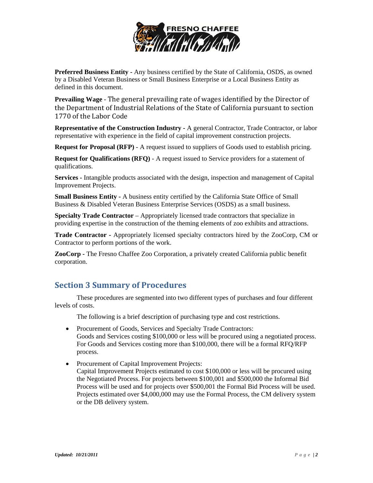

**Preferred Business Entity -** Any business certified by the State of California, OSDS, as owned by a Disabled Veteran Business or Small Business Enterprise or a Local Business Entity as defined in this document.

**Prevailing Wage** - The general prevailing rate of wages identified by the Director of the Department of Industrial Relations of the State of California pursuant to section 1770 of the Labor Code

**Representative of the Construction Industry - A general Contractor, Trade Contractor, or labor** representative with experience in the field of capital improvement construction projects.

**Request for Proposal (RFP)** - A request issued to suppliers of Goods used to establish pricing.

**Request for Qualifications (RFQ)** - A request issued to Service providers for a statement of qualifications.

**Services -** Intangible products associated with the design, inspection and management of Capital Improvement Projects.

**Small Business Entity - A business entity certified by the California State Office of Small** Business & Disabled Veteran Business Enterprise Services (OSDS) as a small business.

**Specialty Trade Contractor** – Appropriately licensed trade contractors that specialize in providing expertise in the construction of the theming elements of zoo exhibits and attractions.

**Trade Contractor -** Appropriately licensed specialty contractors hired by the ZooCorp, CM or Contractor to perform portions of the work.

**ZooCorp -** The Fresno Chaffee Zoo Corporation, a privately created California public benefit corporation.

### **Section 3 Summary of Procedures**

These procedures are segmented into two different types of purchases and four different levels of costs.

The following is a brief description of purchasing type and cost restrictions.

- Procurement of Goods, Services and Specialty Trade Contractors: Goods and Services costing \$100,000 or less will be procured using a negotiated process. For Goods and Services costing more than \$100,000, there will be a formal RFQ/RFP process.
- Procurement of Capital Improvement Projects: Capital Improvement Projects estimated to cost \$100,000 or less will be procured using the Negotiated Process. For projects between \$100,001 and \$500,000 the Informal Bid Process will be used and for projects over \$500,001 the Formal Bid Process will be used. Projects estimated over \$4,000,000 may use the Formal Process, the CM delivery system or the DB delivery system.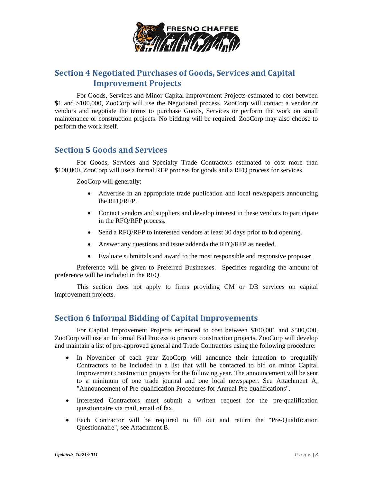

## **Section 4 Negotiated Purchases of Goods, Services and Capital Improvement Projects**

For Goods, Services and Minor Capital Improvement Projects estimated to cost between \$1 and \$100,000, ZooCorp will use the Negotiated process. ZooCorp will contact a vendor or vendors and negotiate the terms to purchase Goods, Services or perform the work on small maintenance or construction projects. No bidding will be required. ZooCorp may also choose to perform the work itself.

#### **Section 5 Goods and Services**

For Goods, Services and Specialty Trade Contractors estimated to cost more than \$100,000, ZooCorp will use a formal RFP process for goods and a RFQ process for services.

ZooCorp will generally:

- Advertise in an appropriate trade publication and local newspapers announcing the RFQ/RFP.
- Contact vendors and suppliers and develop interest in these vendors to participate in the RFQ/RFP process.
- Send a RFQ/RFP to interested vendors at least 30 days prior to bid opening.
- Answer any questions and issue addenda the RFQ/RFP as needed.
- Evaluate submittals and award to the most responsible and responsive proposer.

Preference will be given to Preferred Businesses. Specifics regarding the amount of preference will be included in the RFQ.

This section does not apply to firms providing CM or DB services on capital improvement projects.

#### **Section 6 Informal Bidding of Capital Improvements**

For Capital Improvement Projects estimated to cost between \$100,001 and \$500,000, ZooCorp will use an Informal Bid Process to procure construction projects. ZooCorp will develop and maintain a list of pre-approved general and Trade Contractors using the following procedure:

- In November of each year ZooCorp will announce their intention to prequalify Contractors to be included in a list that will be contacted to bid on minor Capital Improvement construction projects for the following year. The announcement will be sent to a minimum of one trade journal and one local newspaper. See Attachment A, "Announcement of Pre-qualification Procedures for Annual Pre-qualifications".
- Interested Contractors must submit a written request for the pre-qualification questionnaire via mail, email of fax.
- Each Contractor will be required to fill out and return the "Pre-Qualification Questionnaire", see Attachment B.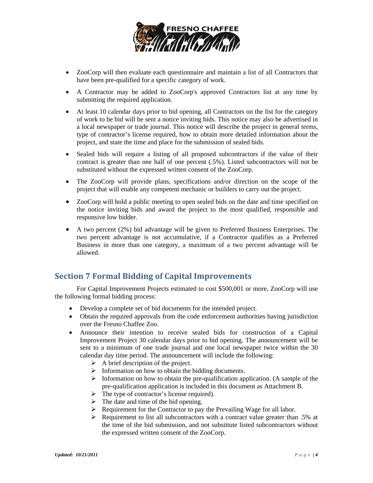

- ZooCorp will then evaluate each questionnaire and maintain a list of all Contractors that have been pre-qualified for a specific category of work.
- A Contractor may be added to ZooCorp's approved Contractors list at any time by submitting the required application.
- At least 10 calendar days prior to bid opening, all Contractors on the list for the category of work to be bid will be sent a notice inviting bids. This notice may also be advertised in a local newspaper or trade journal. This notice will describe the project in general terms, type of contractor's license required, how to obtain more detailed information about the project, and state the time and place for the submission of sealed bids.
- Sealed bids will require a listing of all proposed subcontractors if the value of their contract is greater than one half of one percent (.5%). Listed subcontractors will not be substituted without the expressed written consent of the ZooCorp.
- The ZooCorp will provide plans, specifications and/or direction on the scope of the project that will enable any competent mechanic or builders to carry out the project.
- ZooCorp will hold a public meeting to open sealed bids on the date and time specified on the notice inviting bids and award the project to the most qualified, responsible and responsive low bidder.
- A two percent (2%) bid advantage will be given to Preferred Business Enterprises. The two percent advantage is not accumulative, if a Contractor qualifies as a Preferred Business in more than one category, a maximum of a two percent advantage will be allowed.

### **Section 7 Formal Bidding of Capital Improvements**

For Capital Improvement Projects estimated to cost \$500,001 or more, ZooCorp will use the following formal bidding process:

- Develop a complete set of bid documents for the intended project.
- Obtain the required approvals from the code enforcement authorities having jurisdiction over the Fresno Chaffee Zoo.
- Announce their intention to receive sealed bids for construction of a Capital Improvement Project 30 calendar days prior to bid opening. The announcement will be sent to a minimum of one trade journal and one local newspaper twice within the 30 calendar day time period. The announcement will include the following:
	- $\triangleright$  A brief description of the project.
	- $\triangleright$  Information on how to obtain the bidding documents.
	- $\triangleright$  Information on how to obtain the pre-qualification application. (A sample of the pre-qualification application is included in this document as Attachment B.
	- $\triangleright$  The type of contractor's license required).
	- $\triangleright$  The date and time of the bid opening.
	- $\triangleright$  Requirement for the Contractor to pay the Prevailing Wage for all labor.
	- $\triangleright$  Requirement to list all subcontractors with a contract value greater than .5% at the time of the bid submission, and not substitute listed subcontractors without the expressed written consent of the ZooCorp.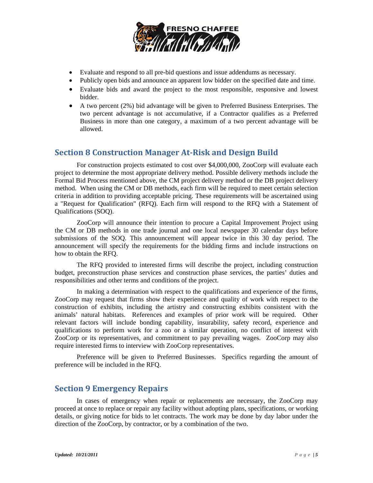

- Evaluate and respond to all pre-bid questions and issue addendums as necessary.
- Publicly open bids and announce an apparent low bidder on the specified date and time.
- Evaluate bids and award the project to the most responsible, responsive and lowest bidder.
- A two percent (2%) bid advantage will be given to Preferred Business Enterprises. The two percent advantage is not accumulative, if a Contractor qualifies as a Preferred Business in more than one category, a maximum of a two percent advantage will be allowed.

#### **Section 8 Construction Manager At‐Risk and Design Build**

For construction projects estimated to cost over \$4,000,000, ZooCorp will evaluate each project to determine the most appropriate delivery method. Possible delivery methods include the Formal Bid Process mentioned above, the CM project delivery method or the DB project delivery method. When using the CM or DB methods, each firm will be required to meet certain selection criteria in addition to providing acceptable pricing. These requirements will be ascertained using a "Request for Qualification" (RFQ). Each firm will respond to the RFQ with a Statement of Qualifications (SOQ).

ZooCorp will announce their intention to procure a Capital Improvement Project using the CM or DB methods in one trade journal and one local newspaper 30 calendar days before submissions of the SOQ. This announcement will appear twice in this 30 day period. The announcement will specify the requirements for the bidding firms and include instructions on how to obtain the RFQ.

The RFQ provided to interested firms will describe the project, including construction budget, preconstruction phase services and construction phase services, the parties' duties and responsibilities and other terms and conditions of the project.

In making a determination with respect to the qualifications and experience of the firms, ZooCorp may request that firms show their experience and quality of work with respect to the construction of exhibits, including the artistry and constructing exhibits consistent with the animals' natural habitats. References and examples of prior work will be required. Other relevant factors will include bonding capability, insurability, safety record, experience and qualifications to perform work for a zoo or a similar operation, no conflict of interest with ZooCorp or its representatives, and commitment to pay prevailing wages. ZooCorp may also require interested firms to interview with ZooCorp representatives.

Preference will be given to Preferred Businesses. Specifics regarding the amount of preference will be included in the RFQ.

### **Section 9 Emergency Repairs**

 In cases of emergency when repair or replacements are necessary, the ZooCorp may proceed at once to replace or repair any facility without adopting plans, specifications, or working details, or giving notice for bids to let contracts. The work may be done by day labor under the direction of the ZooCorp, by contractor, or by a combination of the two.